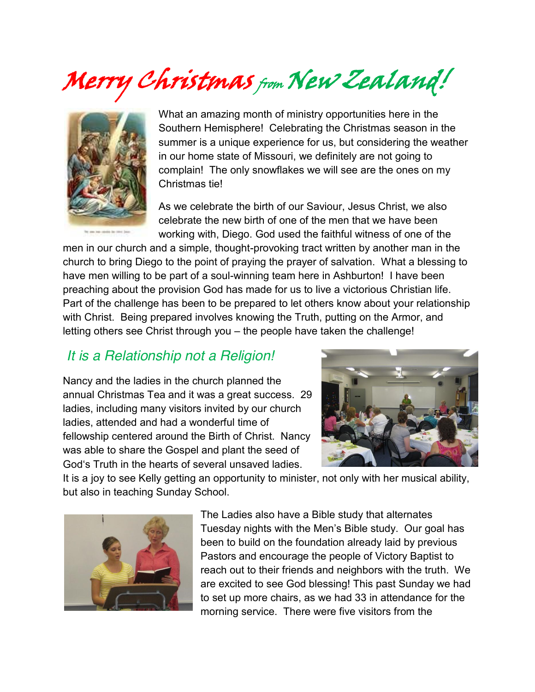Merry Christmas from New Zealand!



What an amazing month of ministry opportunities here in the Southern Hemisphere! Celebrating the Christmas season in the summer is a unique experience for us, but considering the weather in our home state of Missouri, we definitely are not going to complain! The only snowflakes we will see are the ones on my Christmas tie!

As we celebrate the birth of our Saviour, Jesus Christ, we also celebrate the new birth of one of the men that we have been working with, Diego. God used the faithful witness of one of the

men in our church and a simple, thought-provoking tract written by another man in the church to bring Diego to the point of praying the prayer of salvation. What a blessing to have men willing to be part of a soul-winning team here in Ashburton! I have been preaching about the provision God has made for us to live a victorious Christian life. Part of the challenge has been to be prepared to let others know about your relationship with Christ. Being prepared involves knowing the Truth, putting on the Armor, and letting others see Christ through you - the people have taken the challenge!

## *It is a Relationship not a Religion!*

Nancy and the ladies in the church planned the annual Christmas Tea and it was a great success. 29 ladies, including many visitors invited by our church ladies, attended and had a wonderful time of fellowship centered around the Birth of Christ. Nancy was able to share the Gospel and plant the seed of God's Truth in the hearts of several unsaved ladies.



It is a joy to see Kelly getting an opportunity to minister, not only with her musical ability, but also in teaching Sunday School.



The Ladies also have a Bible study that alternates Tuesday nights with the Men's Bible study. Our goal has been to build on the foundation already laid by previous Pastors and encourage the people of Victory Baptist to reach out to their friends and neighbors with the truth. We are excited to see God blessing! This past Sunday we had to set up more chairs, as we had 33 in attendance for the morning service. There were five visitors from the